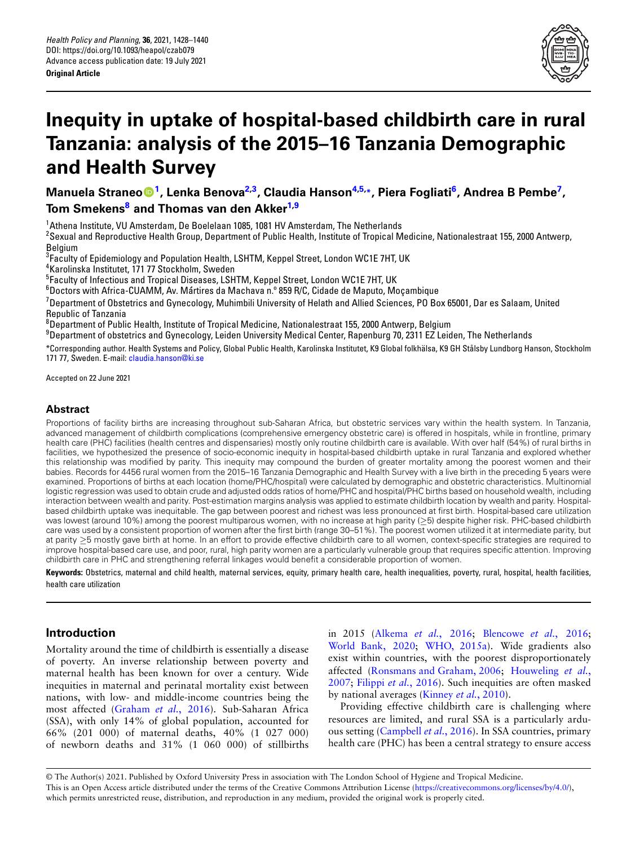

# **Inequity in uptake of hospital-based childbirth care in rural Tanzania: analysis of the 2015–16 Tanzania Demographic and Healt[h](https://orcid.org/0000-0002-2464-1633) [S](#page-0-0)urvey**

**Manuela Stra[ne](#page-0-1)o<sup>1</sup> , Lenka Benova2,3 , Cla[ud](#page-0-0)[i](#page-0-2)a Hanson4,5,\*, Piera Fogliati<sup>6</sup> , Andrea B Pembe<sup>7</sup> , Tom Smekens<sup>8</sup> and Thomas van den Akker1,9**

<span id="page-0-0"></span><sup>1</sup>Athena Institute, VU Amsterdam, De Boelelaan 1085, 1081 HV Amsterdam, The Netherlands

 $^{\rm 2}$ Sexual and Reproductive Health Group, Department of Public Health, Institute of Tropical Medicine, Nationalestraat 155, 2000 Antwerp, **Belgium** 

 $^3$ Faculty of Epidemiology and Population Health, LSHTM, Keppel Street, London WC1E 7HT, UK

4 Karolinska Institutet, 171 77 Stockholm, Sweden

 $^5$ Faculty of Infectious and Tropical Diseases, LSHTM, Keppel Street, London WC1E 7HT, UK

<sup>6</sup>Doctors with Africa-CUAMM, Av. M**´**artires da Machava n.º 859 R/C, Cidade de Maputo, Moçambique

<sup>7</sup>Department of Obstetrics and Gynecology, Muhimbili University of Helath and Allied Sciences, PO Box 65001, Dar es Salaam, United Republic of Tanzania

<span id="page-0-1"></span> $^8$ Department of Public Health, Institute of Tropical Medicine, Nationalestraat 155, 2000 Antwerp, Belgium

<span id="page-0-2"></span> $9$ Department of obstetrics and Gynecology, Leiden University Medical Center, Rapenburg 70, 2311 EZ Leiden, The Netherlands

\*Corresponding author. [Health Systems and Po](mailto:claudia.hanson@ki.se)licy, Global Public Health, Karolinska Institutet, K9 Global folkh¨alsa, K9 GH Stålsby Lundborg Hanson, Stockholm 171 77, Sweden. E-mail: claudia.hanson@ki.se

Accepted on 22 June 2021

# **Abstract**

Proportions of facility births are increasing throughout sub-Saharan Africa, but obstetric services vary within the health system. In Tanzania, advanced management of childbirth complications (comprehensive emergency obstetric care) is offered in hospitals, while in frontline, primary health care (PHC) facilities (health centres and dispensaries) mostly only routine childbirth care is available. With over half (54%) of rural births in facilities, we hypothesized the presence of socio-economic inequity in hospital-based childbirth uptake in rural Tanzania and explored whether this relationship was modified by parity. This inequity may compound the burden of greater mortality among the poorest women and their babies. Records for 4456 rural women from the 2015–16 Tanzania Demographic and Health Survey with a live birth in the preceding 5 years were examined. Proportions of births at each location (home/PHC/hospital) were calculated by demographic and obstetric characteristics. Multinomial logistic regression was used to obtain crude and adjusted odds ratios of home/PHC and hospital/PHC births based on household wealth, including interaction between wealth and parity. Post-estimation margins analysis was applied to estimate childbirth location by wealth and parity. Hospitalbased childbirth uptake was inequitable. The gap between poorest and richest was less pronounced at first birth. Hospital-based care utilization was lowest (around 10%) among the poorest multiparous women, with no increase at high parity (*≥*5) despite higher risk. PHC-based childbirth care was used by a consistent proportion of women after the first birth (range 30–51%). The poorest women utilized it at intermediate parity, but at parity *≥*5 mostly gave birth at home. In an effort to provide effective childbirth care to all women, context-specific strategies are required to improve hospital-based care use, and poor, rural, high parity women are a particularly vulnerable group that requires specific attention. Improving childbirth care in PHC and strengthening referral linkages would benefit a considerable proportion of women.

**Keywords:** Obstetrics, maternal and child health, maternal services, equity, primary health care, health inequalities, poverty, rural, hospital, health facilities, health care utilization

# **Introduction**

Mortality around the time of childbirth is essentially a disease of poverty. An inverse relationship between poverty and maternal health has been known for over a century. Wide inequities in maternal and perinatal mortality exist between nations, withl[ow- and middle-incom](#page-11-0)e countries being the most affected (Graham *et al.*, 2016). Sub-Saharan Africa (SSA), with only 14% of global population, accounted for 66% (201 000) of maternal deaths, 40% (1 027 000) of newborn deaths and 31% (1 060 000) of stillbirths [in 2015 \(Alkema](#page-12-0) *et al.*[, 2016;](#page-12-1) [Blencowe](#page-10-1) *et al.*, 2016; World Bank, 2020; WHO, 2015a). Wide gradients also exist wit[hin countries, with the poores](#page-11-1)t [disproportionately](#page-11-2) [affect](#page-11-2)e[d \(Ronsmans and G](#page-11-3)raham, 2006; Houweling *et al.*, 2007; Filippi *et al.*, 2[016\). Such inequitie](#page-11-4)s are often masked by national averages (Kinney *et al.*, 2010).

Providing effective childbirth care is challenging where resources a[re limited, and rural](#page-11-5) SSA is a particularly arduous setting (Campbell *et al.*, 2016). In SSA countries, primary health care (PHC) has been a central strategy to ensure access

© The Author(s) 2021. Published by Oxford University Press in association with The London School of [Hygiene and Tropical Medicine.](https://creativecommons.org/licenses/by/4.0/) This is an Open Access article distributed under the terms of the Creative Commons Attribution License (https://creativecommons.org/licenses/by/4.0/), which permits unrestricted reuse, distribution, and reproduction in any medium, provided the original work is properly cited.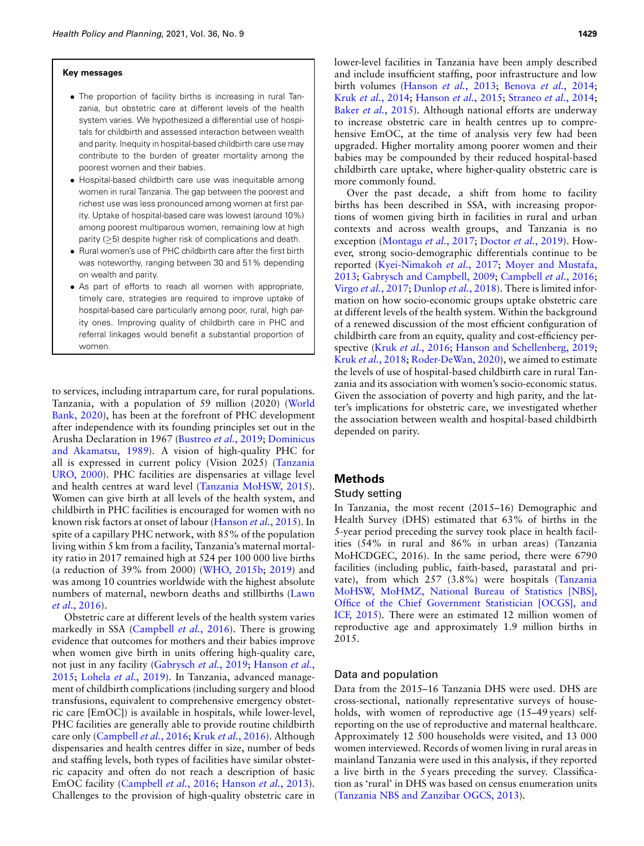#### **Key messages**

- *•* The proportion of facility births is increasing in rural Tanzania, but obstetric care at different levels of the health system varies. We hypothesized a differential use of hospitals for childbirth and assessed interaction between wealth and parity. Inequity in hospital-based childbirth care use may contribute to the burden of greater mortality among the poorest women and their babies.
- *•* Hospital-based childbirth care use was inequitable among women in rural Tanzania. The gap between the poorest and richest use was less pronounced among women at first parity. Uptake of hospital-based care was lowest (around 10%) among poorest multiparous women, remaining low at high parity (*≥*5) despite higher risk of complications and death.
- *•* Rural women's use of PHC childbirth care after the first birth was noteworthy, ranging between 30 and 51% depending on wealth and parity.
- *•* As part of efforts to reach all women with appropriate, timely care, strategies are required to improve uptake of hospital-based care particularly among poor, rural, high parity ones. Improving quality of childbirth care in PHC and referral linkages would benefit a substantial proportion of women.

to services, including intrapartum care, for rural popul[ations.](#page-12-0) [Tanzania, w](#page-12-0)ith a population of 59 million (2020) (World Bank, 2020), has been at the forefront of PHC development after independence with its f[ounding principles se](#page-10-2)[t out in the](#page-11-6) [Arusha Declaration in](#page-11-6) 1967 (Bustreo *et al.*, 2019; Dominicus and Akamatsu, 1989). A vision of high-quality [PHC for](#page-12-2) [all is expre](#page-12-2)ssed in current policy (Vision 2025) (Tanzania URO, 2000). PHC facilities are [dispensaries at village leve](#page-11-7)l and health centres at ward level (Tanzania MoHSW, 2015). Women can give birth at all levels of the health system, and childbirth in PHC facilities is encoura[ged for women with](#page-11-8) no known risk factors at onset of labour (Hanson *et al.*, 2015). In spite of a capillary PHC network, with 85% of the population living within 5 km from a facility, Tanzania's maternal mortality ratio in 2017 remained high at [524 per 100 00](#page-12-3)[0 live b](#page-12-4)irths (a reduction of 39% from 2000) (WHO, 2015b; 2019) and was among 10 countries worldwide with the highest ab[solute](#page-11-9) [numbers of](#page-11-9) maternal, newborn deaths and stillbirths (Lawn *et al*., 2016).

Obstetric care a[t different levels of the](#page-11-5) health system varies markedly in SSA (Campbell *et al.*, 2016). There is growing evidence that outcomes for mothers and their babies improve when women give birt[h in units offering hig](#page-11-10)[h-quality care,](#page-11-8) [not ju](#page-11-8)[st in any facility \(Ga](#page-11-11)brysch *et al.*, 2019; Hanson *et al.*, 2015; Lohela *et al.*, 2019). In Tanzania, advanced management of childbirth complications (including surgery and blood transfusions, equivalent to comprehensive emergency obstetric care [EmOC]) is available in hospitals, while lower-level, PHC facil[ities are generally able](#page-11-5) [to provide routine](#page-11-12) childbirth care only (Campbell *et al.*, 2016; Kruk *et al.*, 2016). Although dispensaries and health centres differ in size, number of beds and staffing levels, both types of facilities have similar obstetric capacity an[d often do not reach](#page-11-5) [a description of basi](#page-11-13)c EmOC facility (Campbell *et al.*, 2016; Hanson *et al.*, 2013). Challenges to the provision of high-quality obstetric care in lower-level facilities in Tanzania have been amply described and include ins[ufficient staffing, poor](#page-11-13) i[nfrastructure and low](#page-10-3) [birth volumes \(H](#page-11-14)anson *et al.*[, 2013;](#page-11-8) Benova *et al.*[, 2014;](#page-11-15) Kruk *et al.*[, 2014;](#page-10-4) Hanson *et al.*, 2015; Straneo *et al.*, 2014; Baker *et al.*, 2015). Although national efforts are underway to increase obstetric care in health centres up to comprehensive EmOC, at the time of analysis very few had been upgraded. Higher mortality among poorer women and their babies may be compounded by their reduced hospital-based childbirth care uptake, where higher-quality obstetric care is more commonly found.

Over the past decade, a shift from home to facility births has been described in SSA, with increasing proportions of women giving birth in facilities in rural and urban contexts a[nd across wealth gr](#page-11-16)[oups, and Tanzania](#page-11-17) is no exception (Montagu *et al.*, 2017; Doctor *et al.*, 2019). However, stro[ng socio-demographic differ](#page-11-18)e[ntials continue to be](#page-11-19) [repor](#page-11-19)t[ed \(Kyei-Nimakoh](#page-11-20) *et al.*, 2017; [Moyer and Mustafa,](#page-11-5) 2013; [Gabrysch a](#page-12-5)[nd Campbell, 2009;](#page-11-21) Campbell *et al.*, 2016; Virgo *et al.*, 2017; Dunlop *et al.*, 2018). There is limited information on how socio-economic groups uptake obstetric care at different levels of the health system. Within the background of a renewed discussion of the most efficient configuration of childbirt[h care from an equ](#page-11-12)i[ty, quality and cost-efficiency per](#page-11-22)[spective \(Kruk](#page-11-23) *et al.*, 2016; [Hanson an](#page-11-24)d Schellenberg, 2019; Kruk *et al.*, 2018; Roder-DeWan, 2020), we aimed to estimate the levels of use of hospital-based childbirth care in rural Tanzania and its association with women's socio-economic status. Given the association of poverty and high parity, and the latter's implications for obstetric care, we investigated whether the association between wealth and hospital-based childbirth depended on parity.

# **Methods**

# Study setting

In Tanzania, the most recent (2015–16) Demographic and Health Survey (DHS) estimated that 63% of births in the 5-year period preceding the survey took place in health facilities (54% in rural and 86% in urban areas) (Tanzania MoHCDGEC, 2016). In the same period, there were 6790 facilities (including public, faith-based, parastatal [and pri](#page-11-7)[vate\), from which 257 \(3.8%\) were hospitals \(Tanzania](#page-11-7) [MoHSW, MoHMZ, National Bureau of Statistics \[NBS\],](#page-11-7) [Office of](#page-11-7) the Chief Government Statistician [OCGS], and ICF, 2015). There were an estimated 12 million women of reproductive age and approximately 1.9 million births in 2015.

#### Data and population

Data from the 2015–16 Tanzania DHS were used. DHS are cross-sectional, nationally representative surveys of households, with women of reproductive age (15–49 years) selfreporting on the use of reproductive and maternal healthcare. Approximately 12 500 households were visited, and 13 000 women interviewed. Records of women living in rural areas in mainland Tanzania were used in this analysis, if they reported a live birth in the 5 years preceding the survey. Classifica[tion as 'rural' in DHS was based on census](#page-12-6) enumeration units (Tanzania NBS and Zanzibar OGCS, 2013).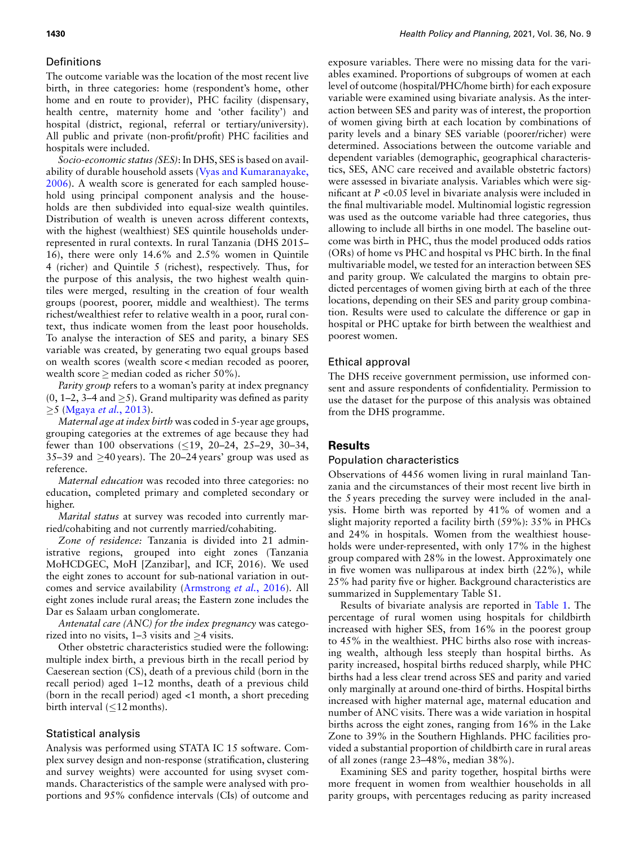## **Definitions**

The outcome variable was the location of the most recent live birth, in three categories: home (respondent's home, other home and en route to provider), PHC facility (dispensary, health centre, maternity home and 'other facility') and hospital (district, regional, referral or tertiary/university). All public and private (non-profit/profit) PHC facilities and hospitals were included.

*Socio-economic status (SES)*: In [DHS, SES is based on avail](#page-12-7)[abilit](#page-12-7)y of durable household assets (Vyas and Kumaranayake, 2006). A wealth score is generated for each sampled household using principal component analysis and the households are then subdivided into equal-size wealth quintiles. Distribution of wealth is uneven across different contexts, with the highest (wealthiest) SES quintile households underrepresented in rural contexts. In rural Tanzania (DHS 2015– 16), there were only 14.6% and 2.5% women in Quintile 4 (richer) and Quintile 5 (richest), respectively. Thus, for the purpose of this analysis, the two highest wealth quintiles were merged, resulting in the creation of four wealth groups (poorest, poorer, middle and wealthiest). The terms richest/wealthiest refer to relative wealth in a poor, rural context, thus indicate women from the least poor households. To analyse the interaction of SES and parity, a binary SES variable was created, by generating two equal groups based on wealth scores (wealth score < median recoded as poorer, wealth score *≥* median coded as richer 50%).

*Parity group* refers to a woman's parity at index pregnancy (0, 1[–2, 3–4 and](#page-11-25) *≥*5). Grand multiparity was defined as parity *≥*5 (Mgaya *et al.*, 2013).

*Maternal age at index birth* was coded in 5-year age groups, grouping categories at the extremes of age because they had fewer than 100 observations (*≤*19, 20–24, 25–29, 30–34, 35–39 and *≥*40 years). The 20–24 years' group was used as reference.

*Maternal education* was recoded into three categories: no education, completed primary and completed secondary or higher.

*Marital status* at survey was recoded into currently married/cohabiting and not currently married/cohabiting.

*Zone of residence:* Tanzania is divided into 21 administrative regions, grouped into eight zones (Tanzania MoHCDGEC, MoH [Zanzibar], and ICF, 2016). We used the eight zones to account fors[ub-national variation in](#page-10-5) outcomes and service availability (Armstrong *et al.*, 2016). All eight zones include rural areas; the Eastern zone includes the Dar es Salaam urban conglomerate.

*Antenatal care (ANC) for the index pregnancy* was categorized into no visits, 1–3 visits and *≥*4 visits.

Other obstetric characteristics studied were the following: multiple index birth, a previous birth in the recall period by Caeserean section (CS), death of a previous child (born in the recall period) aged 1–12 months, death of a previous child (born in the recall period) aged <1 month, a short preceding birth interval (*≤*12 months).

# Statistical analysis

Analysis was performed using STATA IC 15 software. Complex survey design and non-response (stratification, clustering and survey weights) were accounted for using svyset commands. Characteristics of the sample were analysed with proportions and 95% confidence intervals (CIs) of outcome and exposure variables. There were no missing data for the variables examined. Proportions of subgroups of women at each level of outcome (hospital/PHC/home birth) for each exposure variable were examined using bivariate analysis. As the interaction between SES and parity was of interest, the proportion of women giving birth at each location by combinations of parity levels and a binary SES variable (poorer/richer) were determined. Associations between the outcome variable and dependent variables (demographic, geographical characteristics, SES, ANC care received and available obstetric factors) were assessed in bivariate analysis. Variables which were significant at *P* <0.05 level in bivariate analysis were included in the final multivariable model. Multinomial logistic regression was used as the outcome variable had three categories, thus allowing to include all births in one model. The baseline outcome was birth in PHC, thus the model produced odds ratios (ORs) of home vs PHC and hospital vs PHC birth. In the final multivariable model, we tested for an interaction between SES and parity group. We calculated the margins to obtain predicted percentages of women giving birth at each of the three locations, depending on their SES and parity group combination. Results were used to calculate the difference or gap in hospital or PHC uptake for birth between the wealthiest and poorest women.

## Ethical approval

The DHS receive government permission, use informed consent and assure respondents of confidentiality. Permission to use the dataset for the purpose of this analysis was obtained from the DHS programme.

#### **Results**

#### Population characteristics

Observations of 4456 women living in rural mainland Tanzania and the circumstances of their most recent live birth in the 5 years preceding the survey were included in the analysis. Home birth was reported by 41% of women and a slight majority reported a facility birth (59%): 35% in PHCs and 24% in hospitals. Women from the wealthiest households were under-represented, with only 17% in the highest group compared with 28% in the lowest. Approximately one in five women was nulliparous at index birth (22%), while 25% had parity five or higher. Background characteristics are summarized in Supplementary Table S1.

Results of bivariate analysis are reported in Table 1. The percentage of rural women using hospitals for childbirth increased with higher SES, from 16% in the poorest group to 45% in the wealthiest. PHC births also rose with increasing wealth, although less steeply than hospital births. As parity increased, hospital births reduced sharply, while PHC births had a less clear trend across SES and parity and varied only marginally at around one-third of births. Hospital births increased with higher maternal age, maternal education and number of ANC visits. There was a wide variation in hospital births across the eight zones, ranging from 16% in the Lake Zone to 39% in the Southern Highlands. PHC facilities provided a substantial proportion of childbirth care in rural areas of all zones (range 23–48%, median 38%).

Examining SES and parity together, hospital births were more frequent in women from wealthier households in all parity groups, with percentages reducing as parity increased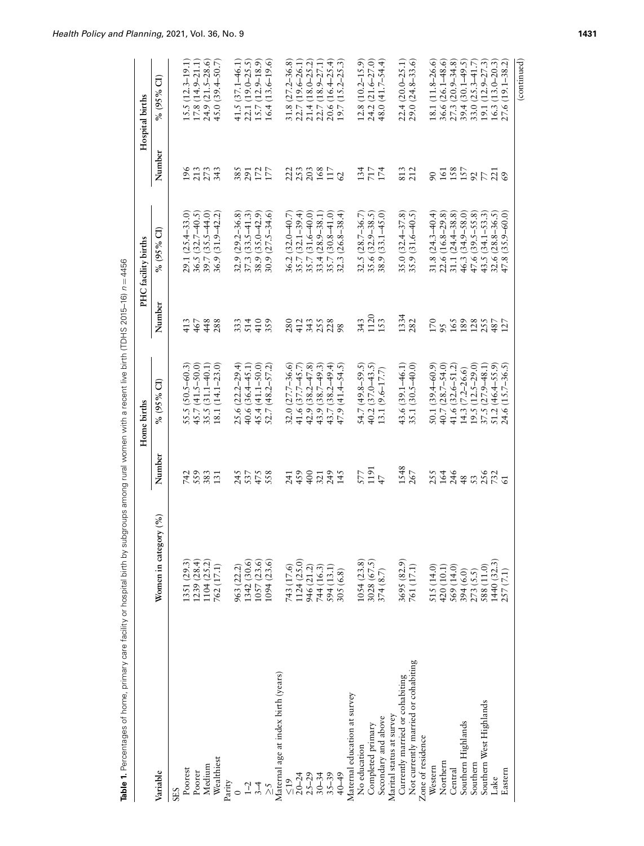|                                     |                              |                    | Home births             |                    | PHC facility births                  |                  | Hospital births              |
|-------------------------------------|------------------------------|--------------------|-------------------------|--------------------|--------------------------------------|------------------|------------------------------|
| Variable                            | Women in category (%)        | Number             | ට්<br>% (95%            | Number             | $% (95\% \text{ CI})$                | Number           | $\widehat{\sigma}$<br>% (95% |
| <b>SES</b>                          |                              |                    |                         |                    |                                      |                  |                              |
| Poorest                             | 1351 (29.3)                  | 742                | 55.5 (50.5–60.3)        | 413                | 29.1 (25.4-33.0                      | 196              | 15.5 (12.3-19.1)             |
| Poorer                              |                              | 559                | 45.7 (41.5-50.0)        | 467                | $36.5(32.7-40.5)$                    |                  | $17.8(14.9 - 21.1)$          |
| Medium                              | $1239(28.4)$<br>$1104(25.2)$ | 383                | 35.5 (31.1-40.1         | 448                | $39.7(35.5 - 44.0)$                  | 213              | $24.9(21.5-28.6)$            |
| Wealthiest                          | 762 (17.1)                   | 131                | 18.1 (14.1–23.0)        | 288                | 36.9 (31.9-42.2                      | 343              | 45.0 $(39.4 - 50.7)$         |
| Parity                              |                              |                    |                         |                    |                                      |                  |                              |
| $\circ$                             | 963 (22.2)                   | 245                | 25.6 (22.2-29.4)        | 333                | 32.9 (29.2-36.8)                     | 385              | 41.5 (37.1-46.1)             |
|                                     | 1342 (30.6)                  | 537                | 40.6 (36.4-45.1)        | 514                | $37.3(33.5 - 41.3)$                  | 291              | 22.1 (19.0–25.5)             |
| 24                                  | 1057(23.6)                   | 475                | 45.4 (41.1-50.0         | 410                | 38.9 (35.0-42.9                      | 172              | $15.7(12.9 - 18.9)$          |
| $\lesssim$                          | 1094(23.6)                   | 558                | $52.7(48.2 - 57.2)$     | 359                | $30.9(27.5 - 34.6)$                  | 177              | $16.4(13.6-19.6)$            |
| Maternal age at index birth (years) |                              |                    |                         |                    |                                      |                  |                              |
| $rac{19}{2}$                        | 743 (17.6)                   | 241                | 32.0 (27.7-36.6)        | 280                |                                      |                  | 31.8 (27.2-36.8)             |
| $20 - 24$                           | 1124 (25.0)                  | 459                | 41.6 (37.7-45.7         | 412                | 36.2 (32.0–40.7)<br>35.7 (32.1–39.4) | 223<br>253       | 22.7 (19.6-26.1)             |
| $25 - 29$                           | 946 (21.2)                   | 400                | 42.9 (38.2-47.8)        | 343                | 35.7 (31.6-40.0)                     | 203              | 21.4 (18.0-25.2)             |
| $30 - 34$                           | 744 (16.3)                   | 321                | 43.9 (38.7-49.3)        |                    | 33.4 (28.9-38.1                      |                  | 22.7 (18.9-27.1)             |
| $35 - 39$                           | 594 (13.1)                   | 249                | 43.7 (38.2-49.4         | 258<br>228         | 35.7 (30.8-41.0                      |                  | $20.6(16.4 - 25.4)$          |
| 40-49                               | 305 (6.8)                    | 145                | $47.9(41.4 - 54.5)$     |                    | $32.3(26.8-38.4)$                    | 117              | 19.7 (15.2-25.3)             |
| Maternal education at survey        |                              |                    |                         |                    |                                      |                  |                              |
| No education                        | 1054 (23.8)                  | 577                | $54.7(49.8 - 59.5)$     | 343                | 32.5 (28.7-36.7                      | 134              | $12.8(10.2 - 15.9)$          |
| Completed primary                   | 3028(67.5)                   | 1191               | 40.2 (37.0-43.5         | 1120               | 35.6 (32.9-38.5)                     | 7174<br>174      | 24.2 (21.6-27.0)             |
| Secondary and above                 | 374(8.7)                     | 47                 | $13.1(9.6 - 17.7)$      | 153                | 38.9 (33.1-45.0)                     |                  | 48.0 (41.7–54.4)             |
| Marital status at survey            |                              |                    |                         |                    |                                      |                  |                              |
| Currently married or cohabiting     | 3695 (82.9)                  | 1548               | 43.6 $(39.1 - 46.1)$    | 1334               | 35.0 (32.4-37.8)                     | 813              | $22.4(20.0 - 25.1)$          |
| Not currently married or cohabiting | 761 (17.1)                   | 267                | 35.1 (30.5-40.0         | 282                | 35.9 (31.6-40.5)                     | 212              | $29.0(24.8-33.6)$            |
| Zone of residence                   |                              |                    |                         |                    |                                      |                  |                              |
| Western                             | 515 (14.0)                   | 255                | $50.1(39.4 - 60.9)$     | 170                | $31.8(24.3 - 40.4)$                  | $\overline{6}$   | 18.1 (11.8-26.6)             |
| Northern                            | 420 (10.1)                   | 164                | 40.7 (28.7-54.0         | 95                 | 22.6 (16.8-29.8)                     | 161              | $(26.1 - 48.6)$<br>36.6      |
| Central                             | 569 (14.0)                   | 246                | 41.6 (32.6-51.2         | 165                | 31.1 (24.4-38.8)                     | 158              | $27.3(20.9 - 34.8)$          |
| Southern Highlands                  | 394 (6.0)                    |                    | 14.3 (7.2–26.6)         |                    | 46.3 (34.9-58.0)                     |                  | $(30.1 - 49.5)$<br>39.4(     |
| Southern                            | 273(5.5)                     |                    | $19.5(12.5-29.0)$       |                    | 47.6 (39.5-55.8)                     |                  | $33.0(25.3 - 41.7)$          |
| Southern West Highlands             | 588 (11.0)                   | <b>3556</b><br>356 | 37.5 (27.9-48.1         | 189<br>128<br>1487 | 43.5 (34.1-53.3                      | $\frac{157}{77}$ | 19.1 (12.9–27.3)             |
| Lake                                | 1440 (32.3)                  |                    | $51.2(46.4 - 55.9)$     |                    | $32.6 (28.8 - 36.5)$                 | 221              | $(13.0 - 20.3)$<br>16.3(     |
| Eastern                             | 257(7.1)                     | $\overline{5}$     | $(15.7 - 36.5)$<br>24.6 | 127                | 47.8 (35.9-60.0)                     | 69               | $(19.1 - 38.2)$<br>27.6      |
|                                     |                              |                    |                         |                    |                                      |                  | (continued)                  |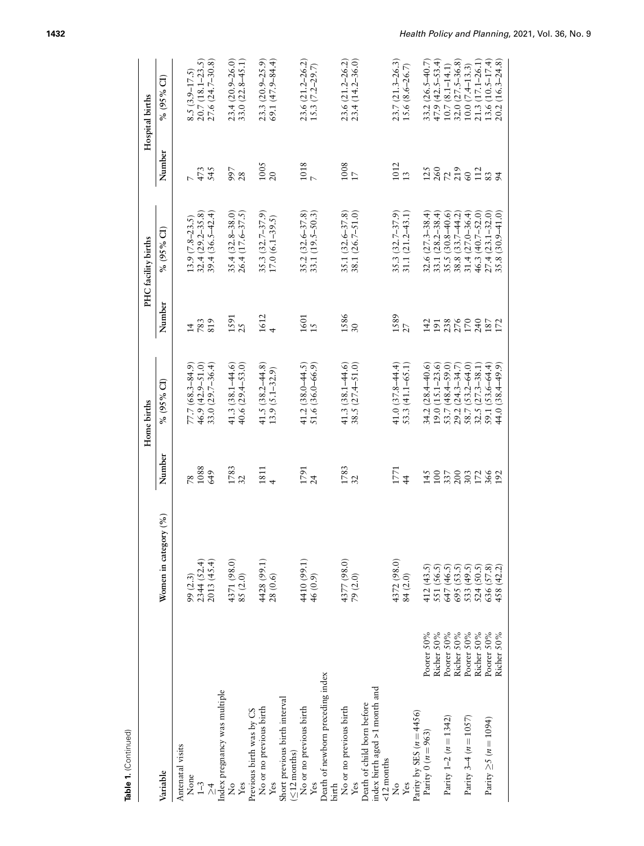| Table 1. (Continued)                                             |                                                                                                              |                                          | Home births                                  |                   | PHC facility births                                                                     |                   | Hospital births     |
|------------------------------------------------------------------|--------------------------------------------------------------------------------------------------------------|------------------------------------------|----------------------------------------------|-------------------|-----------------------------------------------------------------------------------------|-------------------|---------------------|
| Variable                                                         | Women in category (%)                                                                                        | Number                                   | % (95% CI)                                   | Number            | % (95% CI)                                                                              | Number            | % (95% CI)          |
| Antenatal visits                                                 |                                                                                                              |                                          |                                              |                   |                                                                                         |                   |                     |
| None                                                             |                                                                                                              | $\overline{8}$                           | $77.7(68.3 - 84.9)$                          | $\overline{4}$    | $13.9(7.8-23.5)$                                                                        |                   | $8.5(3.9 - 17.5)$   |
| $1 - 3$                                                          |                                                                                                              | 1088                                     | 46.9 (42.9-51.0)                             | 783<br>819        | 32.4 (29.2-35.8)                                                                        | 473<br>545        | $20.7(18.1 - 23.5)$ |
| $\lambda$                                                        | $99 (2.3)$<br>2344 (52.4)<br>2013 (45.4)                                                                     | 649                                      | $33.0(29.7 - 36.4)$                          |                   | $39.4(36.5 - 42.4)$                                                                     |                   | $27.6(24.7-30.8)$   |
| Index pregnancy was multiple                                     |                                                                                                              |                                          |                                              |                   |                                                                                         |                   |                     |
| $\frac{1}{2}$                                                    |                                                                                                              | $\frac{1783}{32}$                        | 41.3 $(38.1 - 44.6)$                         | 1591<br>25        | $35.4(32.8 - 38.0)$                                                                     |                   | 23.4 (20.9-26.0)    |
| Yes                                                              | $\begin{array}{c} 4371 \, (98.0) \\ 85 \, (2.0) \end{array}$                                                 |                                          | 40.6 $(29.4 - 53.0)$                         |                   | 26.4 (17.6-37.5)                                                                        | 997<br>28         | $33.0(22.8-45.1)$   |
| Previous birth was by CS                                         |                                                                                                              |                                          |                                              |                   |                                                                                         |                   |                     |
| No or no previous birth                                          | $\begin{array}{c} 4428\, (99.1) \\ 28\, (0.6) \end{array}$                                                   | $\begin{array}{c} 1811 \\ 4 \end{array}$ | 41.5 $(38.2 - 44.8)$                         | $1612$<br>4       | $35.3(32.7-37.9)$<br>$17.0(6.1-39.5)$                                                   | $\frac{1005}{20}$ | 23.3 (20.9-25.9)    |
|                                                                  |                                                                                                              |                                          | $13.9(5.1 - 32.9)$                           |                   |                                                                                         |                   | $69.1(47.9 - 84.4)$ |
| Short previous birth interval<br>(≤12 months)                    |                                                                                                              |                                          |                                              |                   |                                                                                         |                   |                     |
|                                                                  |                                                                                                              |                                          |                                              |                   |                                                                                         |                   |                     |
| No or no previous birth                                          |                                                                                                              | $1791$<br>$24$                           | 41.2 (38.0-44.5)                             | $\frac{1601}{15}$ | $35.2(32.6 - 37.8)$                                                                     | $\frac{1018}{7}$  | 23.6 (21.2-26.2)    |
|                                                                  | $\begin{array}{c} 4410\,(99.1) \\ 46\,(0.9) \end{array}$                                                     |                                          | 51.6 (36.0-66.9)                             |                   | 33.1 (19.5–50.3)                                                                        |                   | $15.3(7.2-29.7)$    |
| Death of newborn preceding index                                 |                                                                                                              |                                          |                                              |                   |                                                                                         |                   |                     |
| birth                                                            |                                                                                                              |                                          |                                              |                   |                                                                                         |                   |                     |
| No or no previous birth                                          | $4377(98.0)$<br>$79(2.0)$                                                                                    | $\frac{1783}{32}$                        | 41.3 $(38.1 - 44.6)$                         | 1586<br>30        | $35.1(32.6 - 37.8)$                                                                     | $\frac{1008}{17}$ | 23.6 (21.2-26.2)    |
|                                                                  |                                                                                                              |                                          | 38.5 (27.4–51.0)                             |                   | 38.1 (26.7-51.0)                                                                        |                   | 23.4 (14.2-36.0)    |
| Death of child born before                                       |                                                                                                              |                                          |                                              |                   |                                                                                         |                   |                     |
| ndex birth aged >1 month and                                     |                                                                                                              |                                          |                                              |                   |                                                                                         |                   |                     |
| $<12$ months                                                     |                                                                                                              |                                          |                                              |                   |                                                                                         |                   |                     |
| ž                                                                | 4372 (98.0)                                                                                                  | 1771                                     | $41.0(37.8 - 44.4)$                          |                   | $35.3(32.7 - 37.9)$                                                                     | 1012              | $23.7(21.3 - 26.3)$ |
| Yes                                                              | 84 (2.0)                                                                                                     | $\frac{4}{3}$                            | 53.3 (41.1-65.1)                             | $\frac{1589}{27}$ | 31.1 (21.2-43.1)                                                                        | $\overline{13}$   | $15.6(8.6-26.7)$    |
|                                                                  |                                                                                                              |                                          |                                              |                   |                                                                                         |                   |                     |
| Poorer 50%<br>Parity by SES $(n = 4456)$<br>Parity 0 $(n = 963)$ |                                                                                                              | 145                                      | $34.2(28.4 - 40.6)$                          | 142               | $32.6(27.3 - 38.4)$                                                                     | 125               | $33.2(26.5 - 40.7)$ |
|                                                                  |                                                                                                              | 100                                      |                                              |                   | 33.1 (28.2-38.4)                                                                        |                   | $47.9(42.5 - 53.4)$ |
| Richer 50%<br>Poorer 50%<br>Parity $1-2$ $(n = 1342)$            |                                                                                                              | 337                                      | $19.0 (15.1 - 23.6)$<br>$53.7 (48.4 - 59.0)$ |                   |                                                                                         |                   | $10.7(8.1 - 14.1)$  |
| Richer 50%                                                       |                                                                                                              | 200                                      | $29.2(24.3-34.7)$<br>$58.7(53.2-64.0)$       | 191<br>238<br>170 | $\begin{array}{c} 35.5 (30.8-40.6) \\ 38.8 (33.7-44.2) \\ 31.4 (27.0-36.4) \end{array}$ | $\frac{260}{720}$ | $32.0(27.5 - 36.8)$ |
| Poorer 50%<br>Parity $3-4$ ( $n = 1057$ )                        |                                                                                                              | 303                                      |                                              |                   |                                                                                         |                   | $10.0(7.4-13.3)$    |
| Richer 50%                                                       |                                                                                                              | 172<br>366                               | 32.5 (27.3-38.1                              | 240               | 46.3 (40.7-52.0)                                                                        | 112               | 21.3 (17.1-26.1)    |
| Poorer 50%<br>Parity $\geq 5$ ( $n = 1094$ )                     |                                                                                                              |                                          | 59.1 (53.6-64.4)                             |                   | $27.4(23.1 - 32.0)$                                                                     | 83                | $13.6(10.5 - 17.4)$ |
| Richer 50%                                                       | 412 (43.5)<br>551 (56.5)<br>647 (46.5)<br>695 (53.5)<br>533 (49.5)<br>524 (50.5)<br>636 (57.8)<br>458 (42.2) | 192                                      | 44.0 (38.4–49.9)                             | 187<br>172        | $35.8(30.9 - 41.0)$                                                                     |                   | $20.2(16.3 - 24.8)$ |
|                                                                  |                                                                                                              |                                          |                                              |                   |                                                                                         |                   |                     |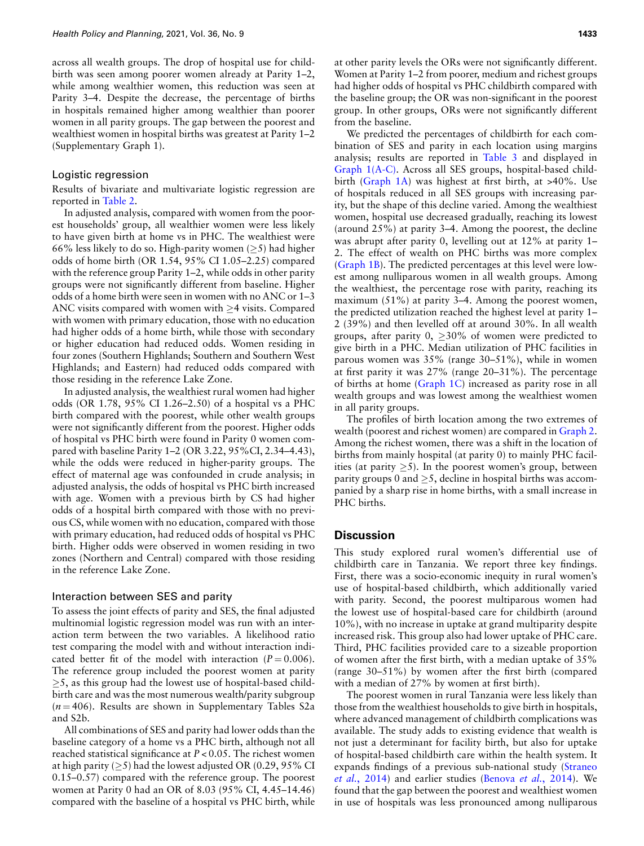across all wealth groups. The drop of hospital use for childbirth was seen among poorer women already at Parity 1–2, while among wealthier women, this reduction was seen at Parity 3–4. Despite the decrease, the percentage of births in hospitals remained higher among wealthier than poorer women in all parity groups. The gap between the poorest and wealthiest women in hospital births was greatest at Parity 1–2 (Supplementary Graph 1).

#### Logistic regression

Results of bivariate and multivariate logistic regression are reported in Table 2.

In adjusted analysis, compared with women from the poorest households' group, all wealthier women were less likely to have given birth at home vs in PHC. The wealthiest were 66% less likely to do so. High-parity women (*≥*5) had higher odds of home birth (OR 1.54, 95% CI 1.05–2.25) compared with the reference group Parity 1–2, while odds in other parity groups were not significantly different from baseline. Higher odds of a home birth were seen in women with no ANC or 1–3 ANC visits compared with women with *≥*4 visits. Compared with women with primary education, those with no education had higher odds of a home birth, while those with secondary or higher education had reduced odds. Women residing in four zones (Southern Highlands; Southern and Southern West Highlands; and Eastern) had reduced odds compared with those residing in the reference Lake Zone.

In adjusted analysis, the wealthiest rural women had higher odds (OR 1.78, 95% CI 1.26–2.50) of a hospital vs a PHC birth compared with the poorest, while other wealth groups were not significantly different from the poorest. Higher odds of hospital vs PHC birth were found in Parity 0 women compared with baseline Parity 1–2 (OR 3.22, 95%CI, 2.34–4.43), while the odds were reduced in higher-parity groups. The effect of maternal age was confounded in crude analysis; in adjusted analysis, the odds of hospital vs PHC birth increased with age. Women with a previous birth by CS had higher odds of a hospital birth compared with those with no previous CS, while women with no education, compared with those with primary education, had reduced odds of hospital vs PHC birth. Higher odds were observed in women residing in two zones (Northern and Central) compared with those residing in the reference Lake Zone.

#### Interaction between SES and parity

To assess the joint effects of parity and SES, the final adjusted multinomial logistic regression model was run with an interaction term between the two variables. A likelihood ratio test comparing the model with and without interaction indicated better fit of the model with interaction  $(P = 0.006)$ . The reference group included the poorest women at parity *≥*5, as this group had the lowest use of hospital-based childbirth care and was the most numerous wealth/parity subgroup  $(n=406)$ . Results are shown in Supplementary Tables S2a and S2b.

All combinations of SES and parity had lower odds than the baseline category of a home vs a PHC birth, although not all reached statistical significance at *P* < 0.05. The richest women at high parity (*≥*5) had the lowest adjusted OR (0.29, 95% CI 0.15–0.57) compared with the reference group. The poorest women at Parity 0 had an OR of 8.03 (95% CI, 4.45–14.46) compared with the baseline of a hospital vs PHC birth, while

at other parity levels the ORs were not significantly different. Women at Parity 1–2 from poorer, medium and richest groups had higher odds of hospital vs PHC childbirth compared with the baseline group; the OR was non-significant in the poorest group. In other groups, ORs were not significantly different from the baseline.

We predicted the percentages of childbirth for each combination of SES and parity in each location using margins [analysis; resul](#page-8-0)ts are reported in Table 3 and displayed in Graph [1\(A-C\). A](#page-8-0)cross all SES groups, hospital-based childbirth (Graph 1A) was highest at first birth, at >40%. Use of hospitals reduced in all SES groups with increasing parity, but the shape of this decline varied. Among the wealthiest women, hospital use decreased gradually, reaching its lowest (around 25%) at parity 3–4. Among the poorest, the decline was abrupt after parity 0, levelling out at 12% at parity 1– [2. The eff](#page-8-0)ect of wealth on PHC births was more complex (Graph 1B). The predicted percentages at this level were lowest among nulliparous women in all wealth groups. Among the wealthiest, the percentage rose with parity, reaching its maximum (51%) at parity 3–4. Among the poorest women, the predicted utilization reached the highest level at parity 1– 2 (39%) and then levelled off at around 30%. In all wealth groups, after parity 0, *≥*30% of women were predicted to give birth in a PHC. Median utilization of PHC facilities in parous women was 35% (range 30–51%), while in women at first parity it w[as 27% \(ra](#page-8-0)nge 20–31%). The percentage of births at home (Graph 1C) increased as parity rose in all wealth groups and was lowest among the wealthiest women in all parity groups.

The profiles of birth location among the two ex[tremes of](#page-9-0) wealth (poorest and richest women) are compared in Graph 2. Among the richest women, there was a shift in the location of births from mainly hospital (at parity 0) to mainly PHC facilities (at parity *≥*5). In the poorest women's group, between parity groups 0 and *≥*5, decline in hospital births was accompanied by a sharp rise in home births, with a small increase in PHC births.

## **Discussion**

This study explored rural women's differential use of childbirth care in Tanzania. We report three key findings. First, there was a socio-economic inequity in rural women's use of hospital-based childbirth, which additionally varied with parity. Second, the poorest multiparous women had the lowest use of hospital-based care for childbirth (around 10%), with no increase in uptake at grand multiparity despite increased risk. This group also had lower uptake of PHC care. Third, PHC facilities provided care to a sizeable proportion of women after the first birth, with a median uptake of 35% (range 30–51%) by women after the first birth (compared with a median of 27% by women at first birth).

The poorest women in rural Tanzania were less likely than those from the wealthiest households to give birth in hospitals, where advanced management of childbirth complications was available. The study adds to existing evidence that wealth is not just a determinant for facility birth, but also for uptake of hospital-based childbirth care within the health s[ystem. It](#page-11-15) [expands find](#page-11-15)ings of a previous s[ub-national study \(St](#page-10-3)raneo *et al.*, 2014) and earlier studies (Benova *et al.*, 2014). We found that the gap between the poorest and wealthiest women in use of hospitals was less pronounced among nulliparous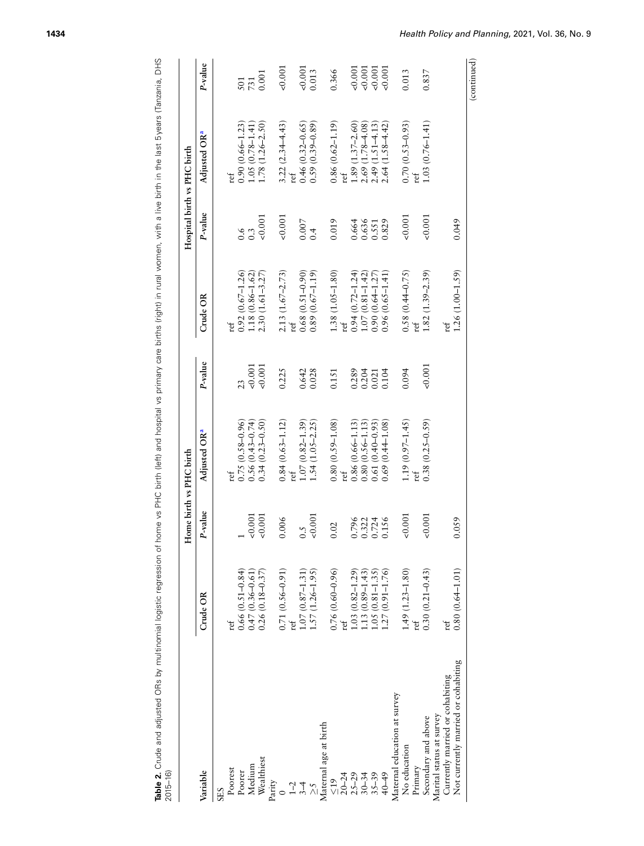|                                     |                                                                                                                                 | Home birth vs PHC birth |                          |          |                                                                             | Hospital birth vs PHC birth |                                  |             |
|-------------------------------------|---------------------------------------------------------------------------------------------------------------------------------|-------------------------|--------------------------|----------|-----------------------------------------------------------------------------|-----------------------------|----------------------------------|-------------|
| Variable                            | Crude OR                                                                                                                        | P-value                 | Adjusted OR <sup>a</sup> | P-value  | Crude OR                                                                    | P-value                     | Adjusted OR <sup>a</sup>         | P-value     |
| <b>SES</b>                          |                                                                                                                                 |                         |                          |          |                                                                             |                             |                                  |             |
| Poorest                             | ref                                                                                                                             |                         | ref                      |          | ref                                                                         |                             | ref                              |             |
| Poorer                              |                                                                                                                                 |                         | $0.75(0.58 - 0.96)$      | 23       |                                                                             |                             | $0.90(0.66 - 1.23)$              | 501         |
| Medium                              | $0.66(0.51 - 0.84)$<br>$0.47(0.36 - 0.61)$                                                                                      | 0.001                   | $0.56(0.43 - 0.74)$      | 0.001    | $\begin{array}{c} 0.92 \ (0.67 - 1.26) \\ 1.18 \ (0.86 - 1.62) \end{array}$ | 0.3                         | $1.05(0.78 - 1.41)$              | 731         |
| Wealthiest                          | $0.26(0.18 - 0.37)$                                                                                                             | 0.001                   | $0.34(0.23 - 0.50)$      | 0.001    | $2.30(1.61 - 3.27)$                                                         | 0.001                       | $(1.26 - 2.50)$<br>1.78          | 0.001       |
| Parity                              |                                                                                                                                 |                         |                          |          |                                                                             |                             |                                  |             |
|                                     | $0.71(0.56 - 0.91)$                                                                                                             | 0.006                   | $0.84(0.63 - 1.12)$      | 0.225    | $2.13(1.67 - 2.73)$                                                         | 0.001                       | $3.22(2.34 - 4.43)$              | 0.001       |
| $\frac{5}{7}$ $\frac{4}{1}$         |                                                                                                                                 |                         | ref                      |          | $_{\rm ref}$                                                                |                             | ref                              |             |
|                                     | $\begin{array}{c} 1.07 \,(0.87 \text{--}\, 1.31) \\ 1.57 \,(1.26 \text{--}\, 1.95) \end{array}$                                 | 0.5                     | $1.07(0.82 - 1.39)$      | 0.642    | $0.68(0.51 - 0.90)$                                                         | 0.007                       | $0.46(0.32 - 0.65)$              | 0.001       |
| $\lesssim$                          |                                                                                                                                 | 0.001                   | $1.54(1.05 - 2.25)$      | 0.028    | $0.89(0.67 - 1.19)$                                                         | 0.4                         | $0.59(0.39 - 0.89)$              | 0.013       |
| Maternal age at birth               |                                                                                                                                 |                         |                          |          |                                                                             |                             |                                  |             |
| $\frac{615}{2}$                     | $0.76(0.60 - 0.96)$                                                                                                             | 0.02                    | $0.80(0.59 - 1.08)$      | 0.151    | $1.38(1.05 - 1.80)$                                                         | 0.019                       | $0.86(0.62 - 1.19)$              | 0.366       |
| $20 - 24$                           |                                                                                                                                 |                         | ref                      |          | ref                                                                         |                             | $\mathop{\mathrm{ref}}\nolimits$ |             |
| $25 - 29$                           |                                                                                                                                 | 0.796                   | $0.86(0.66 - 1.13)$      | 0.289    | $0.94(0.72 - 1.24)$                                                         | 0.664                       | $1.89(1.37 - 2.60)$              | 0.001       |
| $30 - 34$                           |                                                                                                                                 |                         | $0.80(0.56 - 1.13)$      | 0.204    | $1.07(0.81 - 1.42)$                                                         | 0.636                       | $2.69(1.78 - 4.08)$              | 0.001       |
| $35 - 39$                           |                                                                                                                                 | 0.322<br>0.724          | $0.61(0.40 - 0.93)$      | 0.021    | $0.90(0.64 - 1.27)$                                                         |                             | $2.49(1.51 - 4.13)$              | 0.001       |
| 40-49                               | $\begin{array}{c} 1.03\ (0.82\!-\!1.29) \\ 1.13\ (0.89\!-\!1.43) \\ 1.05\ (0.81\!-\!1.35) \\ 1.27\ (0.91\!-\!1.76) \end{array}$ | 0.156                   | $0.69(0.44 - 1.08)$      | 0.104    | $0.96(0.65 - 1.41)$                                                         | 0.551<br>0.829              | $2.64(1.58 - 4.42)$              | 0.001       |
| Maternal education at survey        |                                                                                                                                 |                         |                          |          |                                                                             |                             |                                  |             |
| No education                        | $1.49(1.23 - 1.80)$                                                                                                             | 0.001                   | $1.19(0.97 - 1.45)$      | 0.094    | $0.58(0.44 - 0.75)$                                                         | 0.001                       | $0.70(0.53 - 0.93)$              | 0.013       |
| Primary                             | ret                                                                                                                             |                         | ref                      |          | ťď                                                                          |                             | ref                              |             |
| Secondary and above                 | $0.30(0.21 - 0.43)$                                                                                                             | 0.001                   | $0.38(0.25 - 0.59)$      | $-0.001$ | $1.82(1.39 - 2.39)$                                                         | 0.001                       | $1.03(0.76 - 1.41)$              | 0.837       |
| Marital status at survey            |                                                                                                                                 |                         |                          |          |                                                                             |                             |                                  |             |
| Currently married or cohabiting     | ref                                                                                                                             |                         |                          |          | ref                                                                         |                             |                                  |             |
| Not currently married or cohabiting | $0.80(0.64 - 1.01)$                                                                                                             | 0.059                   |                          |          | $1.26(1.00-1.59)$                                                           | 0.049                       |                                  |             |
|                                     |                                                                                                                                 |                         |                          |          |                                                                             |                             |                                  | (continued) |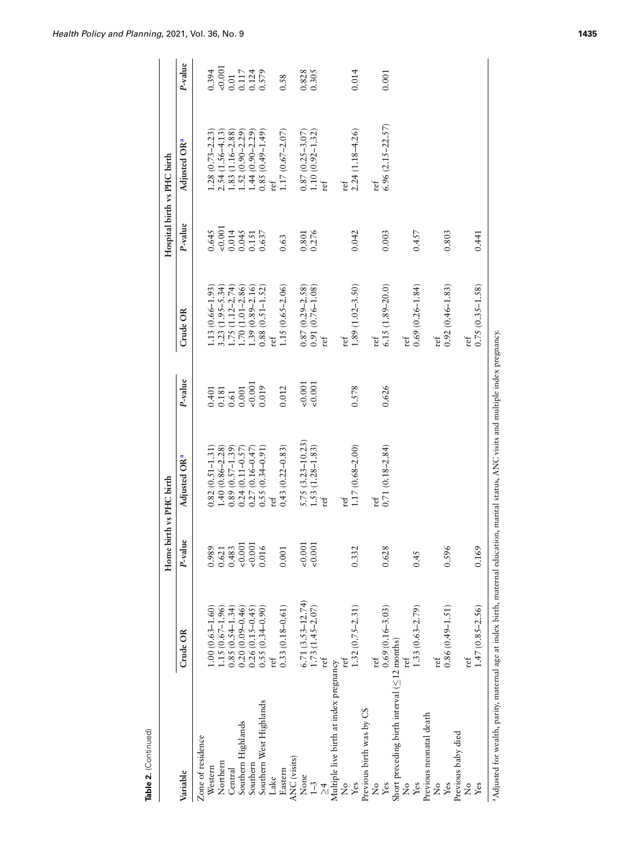| P-value<br>0.621<br>0.001<br>0.001<br>0.001<br>0.001<br>0.483<br>0.989<br>0.016<br>0.332<br>0.001<br>$6.71$ (3.53-12.74)<br>1.73 (1.45-2.07)<br>$0.33(0.18 - 0.61)$<br>$1.32(0.75 - 2.31)$<br>$0.55(0.34 - 0.90)$<br>$1.00(0.63 - 1.60)$<br>$1.15(0.67 - 1.96)$<br>$\begin{array}{c} 0.85 \ (0.54\text{--}1.34) \\ 0.20 \ (0.09\text{--}0.46) \end{array}$<br>$0.26(0.15 - 0.45)$<br>Crude OR<br>ref<br>ref<br>ref<br>Multiple live birth at index pregnancy<br>Southern West Highlands<br>Previous birth was by CS<br>Southern Highlands<br>Zone of residence<br>ANC (visits)<br>Northern<br>Southern<br>Western<br>Eastern<br>Central<br>Variable<br>None<br>Lake<br>$\overline{1}$ -3<br>ž<br>Yes | $5.75~(3.23 - 10.23)$ $1.53~(1.28 - 1.83)$<br>$0.43(0.22 - 0.83)$<br>$\begin{array}{c} 0.89 \ (0.57 \text{--} 1.39) \\ 0.24 \ (0.11 \text{--} 0.57) \end{array}$<br>$1.40(0.86 - 2.28)$<br>$0.27(0.16 - 0.47)$<br>$0.82(0.51 - 1.31)$<br>$0.55(0.34-0.91)$<br>Adjusted OR <sup>a</sup><br>ref<br>ref | P-value<br>$\frac{0.001}{0.001}$<br>$\begin{array}{c} 0.401 \\ 0.181 \\ 0.61 \\ 0.001 \\ 0.001 \\ \end{array}$<br>0.019<br>0.012 | $1.15(0.65 - 2.06)$<br>$0.87(0.29-2.58)$<br>$0.91(0.76-1.08)$<br>$1.39(0.89 - 2.16)$<br>$0.88(0.51 - 1.52)$<br>$1.13(0.66 - 1.93)$<br>$\begin{array}{c} 3.23 \ (1.95 - 5.34) \\ 1.75 \ (1.12 - 2.74) \\ 1.70 \ (1.01 - 2.86) \end{array}$<br>Crude OR<br>ref | P-value<br>$0.645$<br>$0.0014$<br>$0.014$<br>$0.045$<br>$0.151$<br>$0.637$ | Adjusted OR <sup>a</sup>                                                                | P-value                                                                 |
|------------------------------------------------------------------------------------------------------------------------------------------------------------------------------------------------------------------------------------------------------------------------------------------------------------------------------------------------------------------------------------------------------------------------------------------------------------------------------------------------------------------------------------------------------------------------------------------------------------------------------------------------------------------------------------------------------|------------------------------------------------------------------------------------------------------------------------------------------------------------------------------------------------------------------------------------------------------------------------------------------------------|----------------------------------------------------------------------------------------------------------------------------------|--------------------------------------------------------------------------------------------------------------------------------------------------------------------------------------------------------------------------------------------------------------|----------------------------------------------------------------------------|-----------------------------------------------------------------------------------------|-------------------------------------------------------------------------|
|                                                                                                                                                                                                                                                                                                                                                                                                                                                                                                                                                                                                                                                                                                      |                                                                                                                                                                                                                                                                                                      |                                                                                                                                  |                                                                                                                                                                                                                                                              |                                                                            |                                                                                         |                                                                         |
|                                                                                                                                                                                                                                                                                                                                                                                                                                                                                                                                                                                                                                                                                                      |                                                                                                                                                                                                                                                                                                      |                                                                                                                                  |                                                                                                                                                                                                                                                              |                                                                            |                                                                                         |                                                                         |
|                                                                                                                                                                                                                                                                                                                                                                                                                                                                                                                                                                                                                                                                                                      |                                                                                                                                                                                                                                                                                                      |                                                                                                                                  |                                                                                                                                                                                                                                                              |                                                                            | $1.28(0.73 - 2.23)$                                                                     | 0.394                                                                   |
|                                                                                                                                                                                                                                                                                                                                                                                                                                                                                                                                                                                                                                                                                                      |                                                                                                                                                                                                                                                                                                      |                                                                                                                                  |                                                                                                                                                                                                                                                              |                                                                            | $\begin{array}{c} 2.54 \ (1.56\text{--}4.13) \\ 1.83 \ (1.16\text{--}2.88) \end{array}$ |                                                                         |
|                                                                                                                                                                                                                                                                                                                                                                                                                                                                                                                                                                                                                                                                                                      |                                                                                                                                                                                                                                                                                                      |                                                                                                                                  |                                                                                                                                                                                                                                                              |                                                                            |                                                                                         |                                                                         |
|                                                                                                                                                                                                                                                                                                                                                                                                                                                                                                                                                                                                                                                                                                      |                                                                                                                                                                                                                                                                                                      |                                                                                                                                  |                                                                                                                                                                                                                                                              |                                                                            | $\begin{array}{c} 1.52\ (0.90\hbox{--}2.29) \\ 1.44\ (0.90\hbox{--}2.29) \end{array}$   |                                                                         |
|                                                                                                                                                                                                                                                                                                                                                                                                                                                                                                                                                                                                                                                                                                      |                                                                                                                                                                                                                                                                                                      |                                                                                                                                  |                                                                                                                                                                                                                                                              |                                                                            |                                                                                         |                                                                         |
|                                                                                                                                                                                                                                                                                                                                                                                                                                                                                                                                                                                                                                                                                                      |                                                                                                                                                                                                                                                                                                      |                                                                                                                                  |                                                                                                                                                                                                                                                              |                                                                            | $0.85(0.49 - 1.49)$                                                                     | $\begin{array}{c} 0.001 \\ 0.01 \\ 0.117 \\ 0.124 \\ 0.579 \end{array}$ |
|                                                                                                                                                                                                                                                                                                                                                                                                                                                                                                                                                                                                                                                                                                      |                                                                                                                                                                                                                                                                                                      |                                                                                                                                  |                                                                                                                                                                                                                                                              |                                                                            | ref                                                                                     |                                                                         |
|                                                                                                                                                                                                                                                                                                                                                                                                                                                                                                                                                                                                                                                                                                      |                                                                                                                                                                                                                                                                                                      |                                                                                                                                  |                                                                                                                                                                                                                                                              | 0.63                                                                       | $1.17(0.67 - 2.07)$                                                                     | 0.58                                                                    |
|                                                                                                                                                                                                                                                                                                                                                                                                                                                                                                                                                                                                                                                                                                      |                                                                                                                                                                                                                                                                                                      |                                                                                                                                  |                                                                                                                                                                                                                                                              |                                                                            |                                                                                         |                                                                         |
|                                                                                                                                                                                                                                                                                                                                                                                                                                                                                                                                                                                                                                                                                                      |                                                                                                                                                                                                                                                                                                      |                                                                                                                                  |                                                                                                                                                                                                                                                              |                                                                            |                                                                                         |                                                                         |
|                                                                                                                                                                                                                                                                                                                                                                                                                                                                                                                                                                                                                                                                                                      |                                                                                                                                                                                                                                                                                                      |                                                                                                                                  |                                                                                                                                                                                                                                                              | 0.801<br>0.276                                                             |                                                                                         | 0.828                                                                   |
|                                                                                                                                                                                                                                                                                                                                                                                                                                                                                                                                                                                                                                                                                                      |                                                                                                                                                                                                                                                                                                      |                                                                                                                                  | ref                                                                                                                                                                                                                                                          |                                                                            |                                                                                         |                                                                         |
|                                                                                                                                                                                                                                                                                                                                                                                                                                                                                                                                                                                                                                                                                                      |                                                                                                                                                                                                                                                                                                      |                                                                                                                                  |                                                                                                                                                                                                                                                              |                                                                            |                                                                                         |                                                                         |
|                                                                                                                                                                                                                                                                                                                                                                                                                                                                                                                                                                                                                                                                                                      | ref                                                                                                                                                                                                                                                                                                  |                                                                                                                                  | ref                                                                                                                                                                                                                                                          |                                                                            | ref                                                                                     |                                                                         |
|                                                                                                                                                                                                                                                                                                                                                                                                                                                                                                                                                                                                                                                                                                      | $1.17(0.68 - 2.00)$                                                                                                                                                                                                                                                                                  | 0.578                                                                                                                            | $1.89(1.02 - 3.50)$                                                                                                                                                                                                                                          | 0.042                                                                      | $2.24(1.18 - 4.26)$                                                                     | 0.014                                                                   |
|                                                                                                                                                                                                                                                                                                                                                                                                                                                                                                                                                                                                                                                                                                      |                                                                                                                                                                                                                                                                                                      |                                                                                                                                  |                                                                                                                                                                                                                                                              |                                                                            |                                                                                         |                                                                         |
| ref<br>$\frac{1}{2}$                                                                                                                                                                                                                                                                                                                                                                                                                                                                                                                                                                                                                                                                                 | ref                                                                                                                                                                                                                                                                                                  |                                                                                                                                  | ref                                                                                                                                                                                                                                                          |                                                                            | ref                                                                                     |                                                                         |
| 0.628<br>$0.69(0.16 - 3.03)$<br>Yes                                                                                                                                                                                                                                                                                                                                                                                                                                                                                                                                                                                                                                                                  | $0.71(0.18 - 2.84)$                                                                                                                                                                                                                                                                                  | 0.626                                                                                                                            | $6.15(1.89 - 20.0)$                                                                                                                                                                                                                                          | 0.003                                                                      | $6.96(2.15 - 22.57)$                                                                    | 0.001                                                                   |
| Short preceding birth interval $(\leq 12 \text{ months})$                                                                                                                                                                                                                                                                                                                                                                                                                                                                                                                                                                                                                                            |                                                                                                                                                                                                                                                                                                      |                                                                                                                                  |                                                                                                                                                                                                                                                              |                                                                            |                                                                                         |                                                                         |
| ž                                                                                                                                                                                                                                                                                                                                                                                                                                                                                                                                                                                                                                                                                                    |                                                                                                                                                                                                                                                                                                      |                                                                                                                                  | ref                                                                                                                                                                                                                                                          |                                                                            |                                                                                         |                                                                         |
| 0.45<br>$1.33(0.63 - 2.79)$<br>Yes                                                                                                                                                                                                                                                                                                                                                                                                                                                                                                                                                                                                                                                                   |                                                                                                                                                                                                                                                                                                      |                                                                                                                                  | $0.69(0.26 - 1.84)$                                                                                                                                                                                                                                          | 0.457                                                                      |                                                                                         |                                                                         |
| Previous neonatal death                                                                                                                                                                                                                                                                                                                                                                                                                                                                                                                                                                                                                                                                              |                                                                                                                                                                                                                                                                                                      |                                                                                                                                  |                                                                                                                                                                                                                                                              |                                                                            |                                                                                         |                                                                         |
| $\operatorname{ref}$<br>ż                                                                                                                                                                                                                                                                                                                                                                                                                                                                                                                                                                                                                                                                            |                                                                                                                                                                                                                                                                                                      |                                                                                                                                  | ref                                                                                                                                                                                                                                                          |                                                                            |                                                                                         |                                                                         |
| 0.596<br>$0.86(0.49 - 1.51)$<br>Yes                                                                                                                                                                                                                                                                                                                                                                                                                                                                                                                                                                                                                                                                  |                                                                                                                                                                                                                                                                                                      |                                                                                                                                  | $0.92(0.46 - 1.83)$                                                                                                                                                                                                                                          | 0.803                                                                      |                                                                                         |                                                                         |
| Previous baby died                                                                                                                                                                                                                                                                                                                                                                                                                                                                                                                                                                                                                                                                                   |                                                                                                                                                                                                                                                                                                      |                                                                                                                                  |                                                                                                                                                                                                                                                              |                                                                            |                                                                                         |                                                                         |
| ref<br>$\tilde{z}$                                                                                                                                                                                                                                                                                                                                                                                                                                                                                                                                                                                                                                                                                   |                                                                                                                                                                                                                                                                                                      |                                                                                                                                  | ref                                                                                                                                                                                                                                                          |                                                                            |                                                                                         |                                                                         |
| 0.169<br>$1.47(0.85 - 2.56)$<br>Yes                                                                                                                                                                                                                                                                                                                                                                                                                                                                                                                                                                                                                                                                  |                                                                                                                                                                                                                                                                                                      |                                                                                                                                  | $0.75(0.35-1.58)$                                                                                                                                                                                                                                            | 0.441                                                                      |                                                                                         |                                                                         |

*Health Policy and Planning*, 2021, Vol. 36, No. 9 **1435**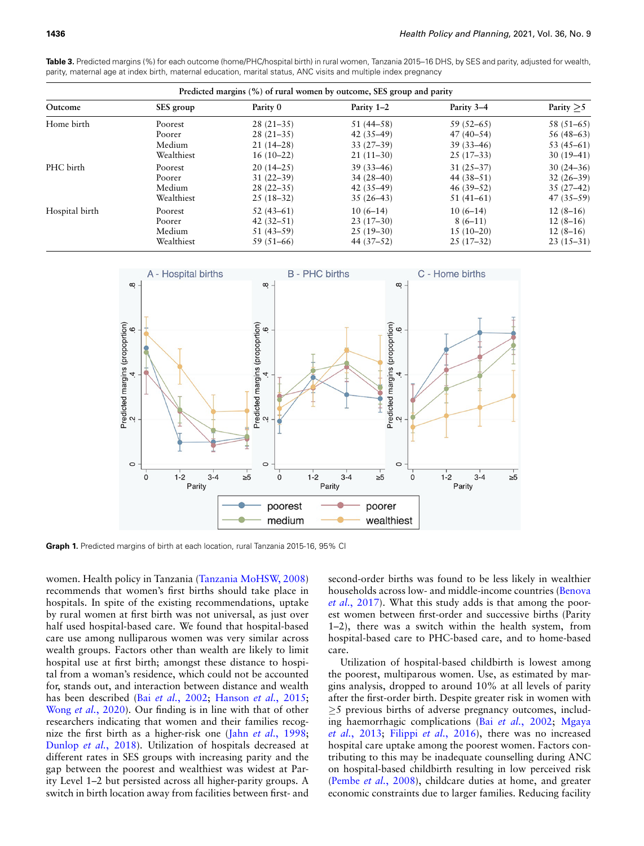|                | Predicted margins (%) of rural women by outcome, SES group and parity |               |               |             |              |  |  |
|----------------|-----------------------------------------------------------------------|---------------|---------------|-------------|--------------|--|--|
| Outcome        | SES group                                                             | Parity 0      | Parity 1-2    | Parity 3–4  | Parity $>5$  |  |  |
| Home birth     | Poorest                                                               | $28(21-35)$   | $51(44-58)$   | $59(52-65)$ | $58(51-65)$  |  |  |
|                | Poorer                                                                | $28(21-35)$   | $42(35-49)$   | $47(40-54)$ | $56(48-63)$  |  |  |
|                | Medium                                                                | $21(14-28)$   | $33(27-39)$   | $39(33-46)$ | 53 $(45-61)$ |  |  |
|                | Wealthiest                                                            | $16(10-22)$   | $21(11-30)$   | $25(17-33)$ | $30(19-41)$  |  |  |
| PHC birth      | Poorest                                                               | $20(14-25)$   | $39(33 - 46)$ | $31(25-37)$ | $30(24-36)$  |  |  |
|                | Poorer                                                                | $31(22 - 39)$ | $34(28-40)$   | $44(38-51)$ | $32(26-39)$  |  |  |
|                | Medium                                                                | $28(22-35)$   | $42(35-49)$   | $46(39-52)$ | $35(27-42)$  |  |  |
|                | Wealthiest                                                            | $25(18-32)$   | $35(26-43)$   | $51(41-61)$ | $47(35-59)$  |  |  |
| Hospital birth | Poorest                                                               | $52(43-61)$   | $10(6-14)$    | $10(6-14)$  | $12(8-16)$   |  |  |
|                | Poorer                                                                | $42(32-51)$   | $23(17-30)$   | $8(6-11)$   | $12(8-16)$   |  |  |
|                | Medium                                                                | $51(43-59)$   | $25(19-30)$   | $15(10-20)$ | $12(8-16)$   |  |  |
|                | Wealthiest                                                            | $59(51-66)$   | $44(37-52)$   | $25(17-32)$ | $23(15-31)$  |  |  |

**Table 3.** Predicted margins (%) for each outcome (home/PHC/hospital birth) in rural women, Tanzania 2015–16 DHS, by SES and parity, adjusted for wealth, parity, maternal age at index birth, maternal education, marital status, ANC visits and multiple index pregnancy

<span id="page-8-0"></span>

**Graph 1.** Predicted margins of birth at each location, rural Tanzania 2015-16, 95% CI

women. Health policy in Tanzania (Tanzania MoHSW, 2008) recommends that women's first births should take place in hospitals. In spite of the existing recommendations, uptake by rural women at first birth was not universal, as just over half used hospital-based care. We found that hospital-based care use among nulliparous women was very similar across wealth groups. Factors other than wealth are likely to limit hospital use at first birth; amongst these distance to hospital from a woman's residence, which could not be accounted for, stands out, andi[nteraction betwe](#page-10-6)e[n distance and wealth](#page-11-8) [has been described](#page-12-8) (Bai *et al.*, 2002; Hanson *et al.*, 2015; Wong *et al.*, 2020). Our finding is in line with that of other researchers indicating that women and t[heir families recog](#page-11-26)[nize the first birth a](#page-11-21)s a higher-risk one (Jahn *et al.*, 1998; Dunlop *et al.*, 2018). Utilization of hospitals decreased at different rates in SES groups with increasing parity and the gap between the poorest and wealthiest was widest at Parity Level 1–2 but persisted across all higher-parity groups. A switch in birth location away from facilities between first- and

second-order births was found to be less likely in w[ealthier](#page-10-7) [households a](#page-10-7)cross low- and middle-income countries (Benova *et al.*, 2017). What this study adds is that among the poorest women between first-order and successive births (Parity 1–2), there was a switch within the health system, from hospital-based care to PHC-based care, and to home-based care.

Utilization of hospital-based childbirth is lowest among the poorest, multiparous women. Use, as estimated by margins analysis, dropped to around 10% at all levels of parity after the first-order birth. Despite greater risk in women with *≥*5 previous births of adverse pre[gnancy outcomes](#page-10-6), [includ](#page-11-25)[ing haemorr](#page-11-25)h[agic complications](#page-11-3) (Bai *et al.*, 2002; Mgaya *et al.*, 2013; Filippi *et al.*, 2016), there was no increased hospital care uptake among the poorest women. Factors contributing to this may be inadequate counselling during ANC [on hospital-based ch](#page-11-27)ildbirth resulting in low perceived risk (Pembe *et al.*, 2008), childcare duties at home, and greater economic constraints due to larger families. Reducing facility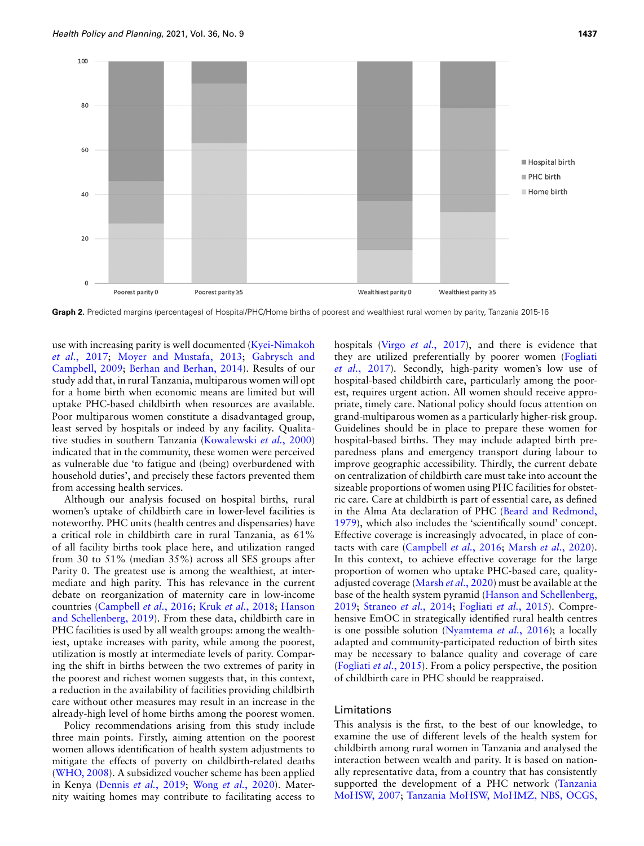<span id="page-9-0"></span>

Graph 2. Predicted margins (percentages) of Hospital/PHC/Home births of poorest and wealthiest rural women by parity, Tanzania 2015-16

[use with incre](#page-11-18)a[sing parity is well documented](#page-11-19)[\(](#page-11-18)[Kyei-Nimakoh](#page-11-20) *et al.*[, 2017;](#page-11-20) M[oyer and Mustafa, 2013;](#page-10-8) Gabrysch and Campbell, 2009; Berhan and Berhan, 2014). Results of our study add that, in rural Tanzania, multiparous women will opt for a home birth when economic means are limited but will uptake PHC-based childbirth when resources are available. Poor multiparous women constitute a disadvantaged group, least served by hospitals or indee[d by any facility. Qualita](#page-11-28)tive studies in southern Tanzania (Kowalewski *et al.*, 2000) indicated that in the community, these women were perceived as vulnerable due 'to fatigue and (being) overburdened with household duties', and precisely these factors prevented them from accessing health services.

Although our analysis focused on hospital births, rural women's uptake of childbirth care in lower-level facilities is noteworthy. PHC units (health centres and dispensaries) have a critical role in childbirth care in rural Tanzania, as 61% of all facility births took place here, and utilization ranged from 30 to 51% (median 35%) across all SES groups after Parity 0. The greatest use is among the wealthiest, at intermediate and high parity. This has relevance in the current debate on [reorganization of ma](#page-11-5)[ternity care in low](#page-11-23)[-income](#page-11-22) [countries \(Campbell](#page-11-22) *et al.*, 2016; Kruk *et al.*, 2018; Hanson and Schellenberg, 2019). From these data, childbirth care in PHC facilities is used by all wealth groups: among the wealthiest, uptake increases with parity, while among the poorest, utilization is mostly at intermediate levels of parity. Comparing the shift in births between the two extremes of parity in the poorest and richest women suggests that, in this context, a reduction in the availability of facilities providing childbirth care without other measures may result in an increase in the already-high level of home births among the poorest women.

Policy recommendations arising from this study include three main points. Firstly, aiming attention on the poorest women allows identification of health system adjustments to [mitigate the](#page-12-9) effects of poverty on childbirth-related deaths (WHO, 20[08\). A subsidized vou](#page-11-29)[cher scheme has bee](#page-12-8)n applied in Kenya (Dennis *et al.*, 2019; Wong *et al.*, 2020). Maternity waiting homes may contribute to facilitating access to hospitals (Virgo *et al.*[, 2017\)](#page-12-5), and there is evide[nce that](#page-11-30) [they are util](#page-11-30)ized preferentially by poorer women (Fogliati *et al.*, 2017). Secondly, high-parity women's low use of hospital-based childbirth care, particularly among the poorest, requires urgent action. All women should receive appropriate, timely care. National policy should focus attention on grand-multiparous women as a particularly higher-risk group. Guidelines should be in place to prepare these women for hospital-based births. They may include adapted birth preparedness plans and emergency transport during labour to improve geographic accessibility. Thirdly, the current debate on centralization of childbirth care must take into account the sizeable proportions of women using PHC facilities for obstetric care. Care at childbirth is part of es[sential care, as defined](#page-10-9) [in the](#page-10-9) Alma Ata declaration of PHC (Beard and Redmond, 1979), which also includes the 'scientifically sound' concept. Effective covera[ge is increasingly advoc](#page-11-5)[ated, in place of con](#page-11-31)tacts with care (Campbell *et al.*, 2016; Marsh *et al.*, 2020). In this context, to achieve effective coverage for the large proportion of wo[men who uptake PH](#page-11-31)C-based care, qualityadjusted coverage (Marsh *et al.*, 20[20\) must be available at the](#page-11-22) [base o](#page-11-22)[f the health system py](#page-11-15)r[amid \(Hanson and Sc](#page-11-32)hellenberg, 2019; Straneo *et al.*, 2014; Fogliati *et al.*, 2015). Comprehensive EmOC in strateg[ically identified rural hea](#page-11-33)lth centres is one possible solution (Nyamtema *et al.*, 2016); a locally adapted and community-participated reduction of birth sites [may be necessary to](#page-11-32) balance quality and coverage of care (Fogliati *et al.*, 2015). From a policy perspective, the position of childbirth care in PHC should be reappraised.

## Limitations

This analysis is the first, to the best of our knowledge, to examine the use of different levels of the health system for childbirth among rural women in Tanzania and analysed the interaction between wealth and parity. It is based on nationally representative data, from a country that has co[nsistently](#page-12-10) [supported the](#page-12-10) [development of a PHC network \(Tanzania](#page-11-7) MoHSW, 2007; Tanzania MoHSW, MoHMZ, NBS, OCGS,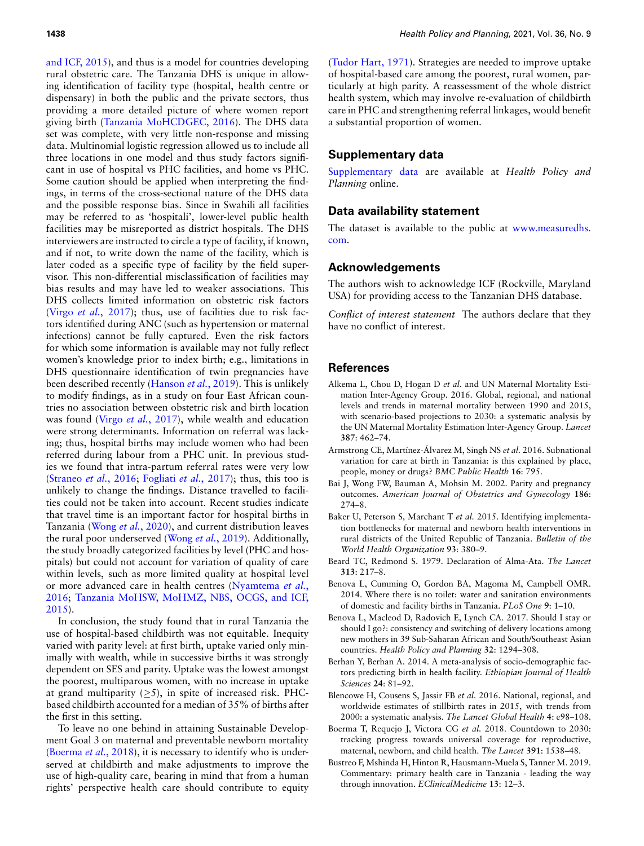[and ICF, 2015\)](#page-11-7), and thus is a model for countries developing rural obstetric care. The Tanzania DHS is unique in allowing identification of facility type (hospital, health centre or dispensary) in both the public and the private sectors, thus providing a [more detailed picture of wher](#page-11-34)e women report giving birth (Tanzania MoHCDGEC, 2016). The DHS data set was complete, with very little non-response and missing data. Multinomial logistic regression allowed us to include all three locations in one model and thus study factors significant in use of hospital vs PHC facilities, and home vs PHC. Some caution should be applied when interpreting the findings, in terms of the cross-sectional nature of the DHS data and the possible response bias. Since in Swahili all facilities may be referred to as 'hospitali', lower-level public health facilities may be misreported as district hospitals. The DHS interviewers are instructed to circle a type of facility, if known, and if not, to write down the name of the facility, which is later coded as a specific type of facility by the field supervisor. This non-differential misclassification of facilities may bias results and may have led to weaker associations. This [DHS collects limite](#page-12-5)d information on obstetric risk factors (Virgo *et al.*, 2017); thus, use of facilities due to risk factors identified during ANC (such as hypertension or maternal infections) cannot be fully captured. Even the risk factors for which some information is available may not fully reflect women's knowledge prior to index birth; e.g., limitations in DHS questionnaire ide[ntification of twin p](#page-11-35)regnancies have been described recently (Hanson *et al.*, 2019). This is unlikely to modify findings, as in a study on four East African countries no ass[ociation between ob](#page-12-5)stetric risk and birth location was found (Virgo *et al.*, 2017), while wealth and education were strong determinants. Information on referral was lacking; thus, hospital births may include women who had been referred during labour from a PHC unit. In previous studi[es we found that int](#page-11-36)[ra-partum referral ra](#page-11-30)tes were very low (Straneo *et al.*, 2016; Fogliati *et al.*, 2017); thus, this too is unlikely to change the findings. Distance travelled to facilities could not be taken into account. Recent studies indicate that trave[l time is an import](#page-12-8)ant factor for hospital births in Tanzania (Wong *et al.*, 202[0\), and current dist](#page-12-11)ribution leaves the rural poor underserved (Wong *et al.*, 2019). Additionally, the study broadly categorized facilities by level (PHC and hospitals) but could not account for variation of quality of care within levels, such as more limited qualit[y at hospital level](#page-11-33) [or mo](#page-11-33)[re advanced care in health centres \(Nyamtema](#page-11-7) *et al.*, [2016](#page-11-7); Tanzania MoHSW, MoHMZ, NBS, OCGS, and ICF, 2015).

In conclusion, the study found that in rural Tanzania the use of hospital-based childbirth was not equitable. Inequity varied with parity level: at first birth, uptake varied only minimally with wealth, while in successive births it was strongly dependent on SES and parity. Uptake was the lowest amongst the poorest, multiparous women, with no increase in uptake at grand multiparity (*≥*5), in spite of increased risk. PHCbased childbirth accounted for a median of 35% of births after the first in this setting.

To leave no one behind in attaining Sustainable Develop[ment Goal 3 on mate](#page-10-10)rnal and preventable newborn mortality (Boerma *et al.*, 2018), it is necessary to identify who is underserved at childbirth and make adjustments to improve the use of high-quality care, bearing in mind that from a human rights' perspective health care should contribute to equity ([Tudor Hart, 1971\)](#page-12-12). Strategies are needed to improve uptake of hospital-based care among the poorest, rural women, particularly at high parity. A reassessment of the whole district health system, which may involve re-evaluation of childbirth care in PHC and strengthening referral linkages, would benefit a substantial proportion of women.

# **[Supplementary](https://academic.oup.com/heapol/article-lookup/doi/10.1093/heapol/czab079#supplementary-data) data**

Supplementary data are available at *Health Policy and Planning* online.

#### **Data availability statement**

[The](https://www.measuredhs.com.) dataset is available to the public at [www.measuredhs.](https://www.measuredhs.com.) com.

#### **Acknowledgements**

The authors wish to acknowledge ICF (Rockville, Maryland USA) for providing access to the Tanzanian DHS database.

*Conflict of interest statement* The authors declare that they have no conflict of interest.

# <span id="page-10-0"></span>**References**

- Alkema L, Chou D, Hogan D *et al.* and UN Maternal Mortality Estimation Inter-Agency Group. 2016. Global, regional, and national levels and trends in maternal mortality between 1990 and 2015, with scenario-based projections to 2030: a systematic analysis by the UN Maternal Mortality Estimation Inter-Agency Group. *Lancet* **387**: 462–74.
- <span id="page-10-5"></span>Armstrong CE, Martínez-Álvarez M, Singh NS *et al.* 2016. Subnational variation for care at birth in Tanzania: is this explained by place, people, money or drugs? *BMC Public Health* **16**: 795.
- <span id="page-10-6"></span>Bai J, Wong FW, Bauman A, Mohsin M. 2002. Parity and pregnancy outcomes. *American Journal of Obstetrics and Gynecology* **186**: 274–8.
- <span id="page-10-4"></span>Baker U, Peterson S, Marchant T *et al.* 2015. Identifying implementation bottlenecks for maternal and newborn health interventions in rural districts of the United Republic of Tanzania. *Bulletin of the World Health Organization* **93**: 380–9.
- <span id="page-10-9"></span><span id="page-10-3"></span>Beard TC, Redmond S. 1979. Declaration of Alma-Ata. *The Lancet* **313**: 217–8.
- Benova L, Cumming O, Gordon BA, Magoma M, Campbell OMR. 2014. Where there is no toilet: water and sanitation environments of domestic and facility births in Tanzania. *PLoS One* **9**: 1–10.
- <span id="page-10-7"></span>Benova L, Macleod D, Radovich E, Lynch CA. 2017. Should I stay or should I go?: consistency and switching of delivery locations among new mothers in 39 Sub-Saharan African and South/Southeast Asian countries. *Health Policy and Planning* **32**: 1294–308.
- <span id="page-10-8"></span>Berhan Y, Berhan A. 2014. A meta-analysis of socio-demographic factors predicting birth in health facility. *Ethiopian Journal of Health Sciences* **24**: 81–92.
- <span id="page-10-1"></span>Blencowe H, Cousens S, Jassir FB *et al.* 2016. National, regional, and worldwide estimates of stillbirth rates in 2015, with trends from 2000: a systematic analysis. *The Lancet Global Health* **4**: e98–108.
- <span id="page-10-10"></span>Boerma T, Requejo J, Victora CG *et al.* 2018. Countdown to 2030: tracking progress towards universal coverage for reproductive, maternal, newborn, and child health. *The Lancet* **391**: 1538–48.
- <span id="page-10-2"></span>Bustreo F, Mshinda H, Hinton R, Hausmann-Muela S, Tanner M. 2019. Commentary: primary health care in Tanzania - leading the way through innovation. *EClinicalMedicine* **13**: 12–3.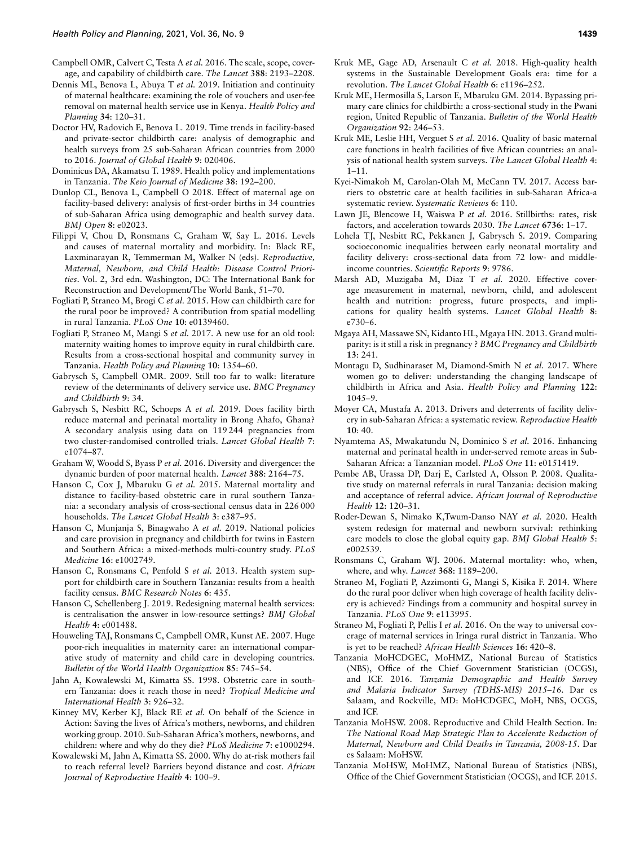- <span id="page-11-5"></span>Campbell OMR, Calvert C, Testa A *et al.* 2016. The scale, scope, coverage, and capability of childbirth care. *The Lancet* **388**: 2193–2208.
- <span id="page-11-29"></span>Dennis ML, Benova L, Abuya T *et al.* 2019. Initiation and continuity of maternal healthcare: examining the role of vouchers and user-fee removal on maternal health service use in Kenya. *Health Policy and Planning* **34**: 120–31.
- <span id="page-11-17"></span>Doctor HV, Radovich E, Benova L. 2019. Time trends in facility-based and private-sector childbirth care: analysis of demographic and health surveys from 25 sub-Saharan African countries from 2000 to 2016. *Journal of Global Health* **9**: 020406.
- <span id="page-11-6"></span>Dominicus DA, Akamatsu T. 1989. Health policy and implementations in Tanzania. *The Keio Journal of Medicine* **38**: 192–200.
- <span id="page-11-21"></span>Dunlop CL, Benova L, Campbell O 2018. Effect of maternal age on facility-based delivery: analysis of first-order births in 34 countries of sub-Saharan Africa using demographic and health survey data. *BMJ Open* **8**: e02023.
- <span id="page-11-3"></span>Filippi V, Chou D, Ronsmans C, Graham W, Say L. 2016. Levels and causes of maternal mortality and morbidity. In: Black RE, Laxminarayan R, Temmerman M, Walker N (eds). *Reproductive, Maternal, Newborn, and Child Health: Disease Control Priorities*. Vol. 2, 3rd edn. Washington, DC: The International Bank for Reconstruction and Development/The World Bank, 51–70.
- <span id="page-11-32"></span>Fogliati P, Straneo M, Brogi C *et al.* 2015. How can childbirth care for the rural poor be improved? A contribution from spatial modelling in rural Tanzania. *PLoS One* **10**: e0139460.
- <span id="page-11-30"></span>Fogliati P, Straneo M, Mangi S *et al.* 2017. A new use for an old tool: maternity waiting homes to improve equity in rural childbirth care. Results from a cross-sectional hospital and community survey in Tanzania. *Health Policy and Planning* **10**: 1354–60.
- <span id="page-11-20"></span>Gabrysch S, Campbell OMR. 2009. Still too far to walk: literature review of the determinants of delivery service use. *BMC Pregnancy and Childbirth* **9**: 34.
- <span id="page-11-10"></span>Gabrysch S, Nesbitt RC, Schoeps A *et al.* 2019. Does facility birth reduce maternal and perinatal mortality in Brong Ahafo, Ghana? A secondary analysis using data on 119 244 pregnancies from two cluster-randomised controlled trials. *Lancet Global Health* **7**: e1074–87.
- <span id="page-11-0"></span>Graham W, Woodd S, Byass P *et al.* 2016. Diversity and divergence: the dynamic burden of poor maternal health. *Lancet* **388**: 2164–75.
- <span id="page-11-8"></span>Hanson C, Cox J, Mbaruku G *et al.* 2015. Maternal mortality and distance to facility-based obstetric care in rural southern Tanzania: a secondary analysis of cross-sectional census data in 226 000 households. *The Lancet Global Health* **3**: e387–95.
- <span id="page-11-35"></span>Hanson C, Munjanja S, Binagwaho A *et al.* 2019. National policies and care provision in pregnancy and childbirth for twins in Eastern and Southern Africa: a mixed-methods multi-country study. *PLoS Medicine* **16**: e1002749.
- <span id="page-11-13"></span>Hanson C, Ronsmans C, Penfold S *et al.* 2013. Health system support for childbirth care in Southern Tanzania: results from a health facility census. *BMC Research Notes* **6**: 435.
- <span id="page-11-22"></span>Hanson C, Schellenberg J. 2019. Redesigning maternal health services: is centralisation the answer in low-resource settings? *BMJ Global Health* **4**: e001488.
- <span id="page-11-2"></span>Houweling TAJ, Ronsmans C, Campbell OMR, Kunst AE. 2007. Huge poor-rich inequalities in maternity care: an international comparative study of maternity and child care in developing countries. *Bulletin of the World Health Organization* **85**: 745–54.
- <span id="page-11-26"></span>Jahn A, Kowalewski M, Kimatta SS. 1998. Obstetric care in southern Tanzania: does it reach those in need? *Tropical Medicine and International Health* **3**: 926–32.
- <span id="page-11-4"></span>Kinney MV, Kerber KJ, Black RE *et al.* On behalf of the Science in Action: Saving the lives of Africa's mothers, newborns, and children working group. 2010. Sub-Saharan Africa's mothers, newborns, and children: where and why do they die? *PLoS Medicine* **7**: e1000294.
- <span id="page-11-28"></span>Kowalewski M, Jahn A, Kimatta SS. 2000. Why do at-risk mothers fail to reach referral level? Barriers beyond distance and cost. *African Journal of Reproductive Health* **4**: 100–9.
- <span id="page-11-23"></span>Kruk ME, Gage AD, Arsenault C *et al.* 2018. High-quality health systems in the Sustainable Development Goals era: time for a revolution. *The Lancet Global Health* **6**: e1196–252.
- <span id="page-11-14"></span>Kruk ME, Hermosilla S, Larson E, Mbaruku GM. 2014. Bypassing primary care clinics for childbirth: a cross-sectional study in the Pwani region, United Republic of Tanzania. *Bulletin of the World Health Organization* **92**: 246–53.
- <span id="page-11-12"></span>Kruk ME, Leslie HH, Verguet S *et al.* 2016. Quality of basic maternal care functions in health facilities of five African countries: an analysis of national health system surveys. *The Lancet Global Health* **4**: 1–11.
- <span id="page-11-18"></span>Kyei-Nimakoh M, Carolan-Olah M, McCann TV. 2017. Access barriers to obstetric care at health facilities in sub-Saharan Africa-a systematic review. *Systematic Reviews* **6**: 110.
- <span id="page-11-9"></span>Lawn JE, Blencowe H, Waiswa P *et al.* 2016. Stillbirths: rates, risk factors, and acceleration towards 2030. *The Lancet* **6736**: 1–17.
- <span id="page-11-11"></span>Lohela TJ, Nesbitt RC, Pekkanen J, Gabrysch S. 2019. Comparing socioeconomic inequalities between early neonatal mortality and facility delivery: cross-sectional data from 72 low- and middleincome countries. *Scientific Reports* **9**: 9786.
- <span id="page-11-31"></span>Marsh AD, Muzigaba M, Diaz T *et al.* 2020. Effective coverage measurement in maternal, newborn, child, and adolescent health and nutrition: progress, future prospects, and implications for quality health systems. *Lancet Global Health* **8**: e730–6.
- <span id="page-11-25"></span>Mgaya AH, Massawe SN, Kidanto HL, Mgaya HN. 2013. Grand multiparity: is it still a risk in pregnancy ? *BMC Pregnancy and Childbirth* **13**: 241.
- <span id="page-11-16"></span>Montagu D, Sudhinaraset M, Diamond-Smith N *et al.* 2017. Where women go to deliver: understanding the changing landscape of childbirth in Africa and Asia. *Health Policy and Planning* **122**: 1045–9.
- <span id="page-11-19"></span>Moyer CA, Mustafa A. 2013. Drivers and deterrents of facility delivery in sub-Saharan Africa: a systematic review. *Reproductive Health* **10**: 40.
- <span id="page-11-33"></span>Nyamtema AS, Mwakatundu N, Dominico S *et al.* 2016. Enhancing maternal and perinatal health in under-served remote areas in Sub-Saharan Africa: a Tanzanian model. *PLoS One* **11**: e0151419.
- <span id="page-11-27"></span>Pembe AB, Urassa DP, Darj E, Carlsted A, Olsson P. 2008. Qualitative study on maternal referrals in rural Tanzania: decision making and acceptance of referral advice. *African Journal of Reproductive Health* **12**: 120–31.
- <span id="page-11-24"></span>Roder-Dewan S, Nimako K,Twum-Danso NAY *et al.* 2020. Health system redesign for maternal and newborn survival: rethinking care models to close the global equity gap. *BMJ Global Health* **5**: e002539.
- <span id="page-11-1"></span>Ronsmans C, Graham WJ. 2006. Maternal mortality: who, when, where, and why. *Lancet* **368**: 1189–200.
- <span id="page-11-15"></span>Straneo M, Fogliati P, Azzimonti G, Mangi S, Kisika F. 2014. Where do the rural poor deliver when high coverage of health facility delivery is achieved? Findings from a community and hospital survey in Tanzania. *PLoS One* **9**: e113995.
- <span id="page-11-36"></span>Straneo M, Fogliati P, Pellis I *et al.* 2016. On the way to universal coverage of maternal services in Iringa rural district in Tanzania. Who is yet to be reached? *African Health Sciences* **16**: 420–8.
- <span id="page-11-34"></span>Tanzania MoHCDGEC, MoHMZ, National Bureau of Statistics (NBS), Office of the Chief Government Statistician (OCGS), and ICF. 2016. *Tanzania Demographic and Health Survey and Malaria Indicator Survey (TDHS-MIS) 2015*–*16*. Dar es Salaam, and Rockville, MD: MoHCDGEC, MoH, NBS, OCGS, and ICF.
- Tanzania MoHSW. 2008. Reproductive and Child Health Section. In: *The National Road Map Strategic Plan to Accelerate Reduction of Maternal, Newborn and Child Deaths in Tanzania, 2008-15*. Dar es Salaam: MoHSW.
- <span id="page-11-7"></span>Tanzania MoHSW, MoHMZ, National Bureau of Statistics (NBS), Office of the Chief Government Statistician (OCGS), and ICF. 2015.